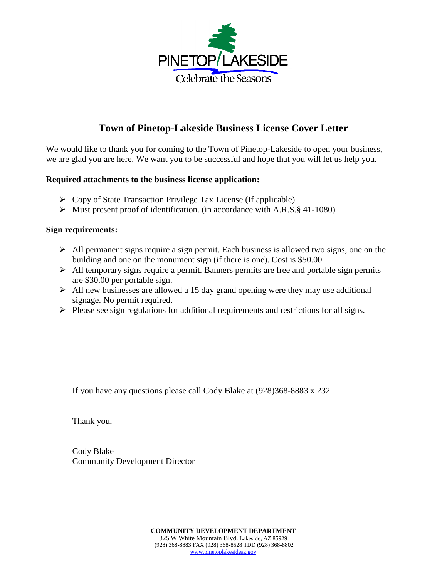

## **Town of Pinetop-Lakeside Business License Cover Letter**

We would like to thank you for coming to the Town of Pinetop-Lakeside to open your business, we are glad you are here. We want you to be successful and hope that you will let us help you.

## **Required attachments to the business license application:**

- $\triangleright$  Copy of State Transaction Privilege Tax License (If applicable)
- $\triangleright$  Must present proof of identification. (in accordance with A.R.S. § 41-1080)

## **Sign requirements:**

- $\triangleright$  All permanent signs require a sign permit. Each business is allowed two signs, one on the building and one on the monument sign (if there is one). Cost is \$50.00
- $\triangleright$  All temporary signs require a permit. Banners permits are free and portable sign permits are \$30.00 per portable sign.
- $\triangleright$  All new businesses are allowed a 15 day grand opening were they may use additional signage. No permit required.
- $\triangleright$  Please see sign regulations for additional requirements and restrictions for all signs.

If you have any questions please call Cody Blake at (928)368-8883 x 232

Thank you,

Cody Blake Community Development Director